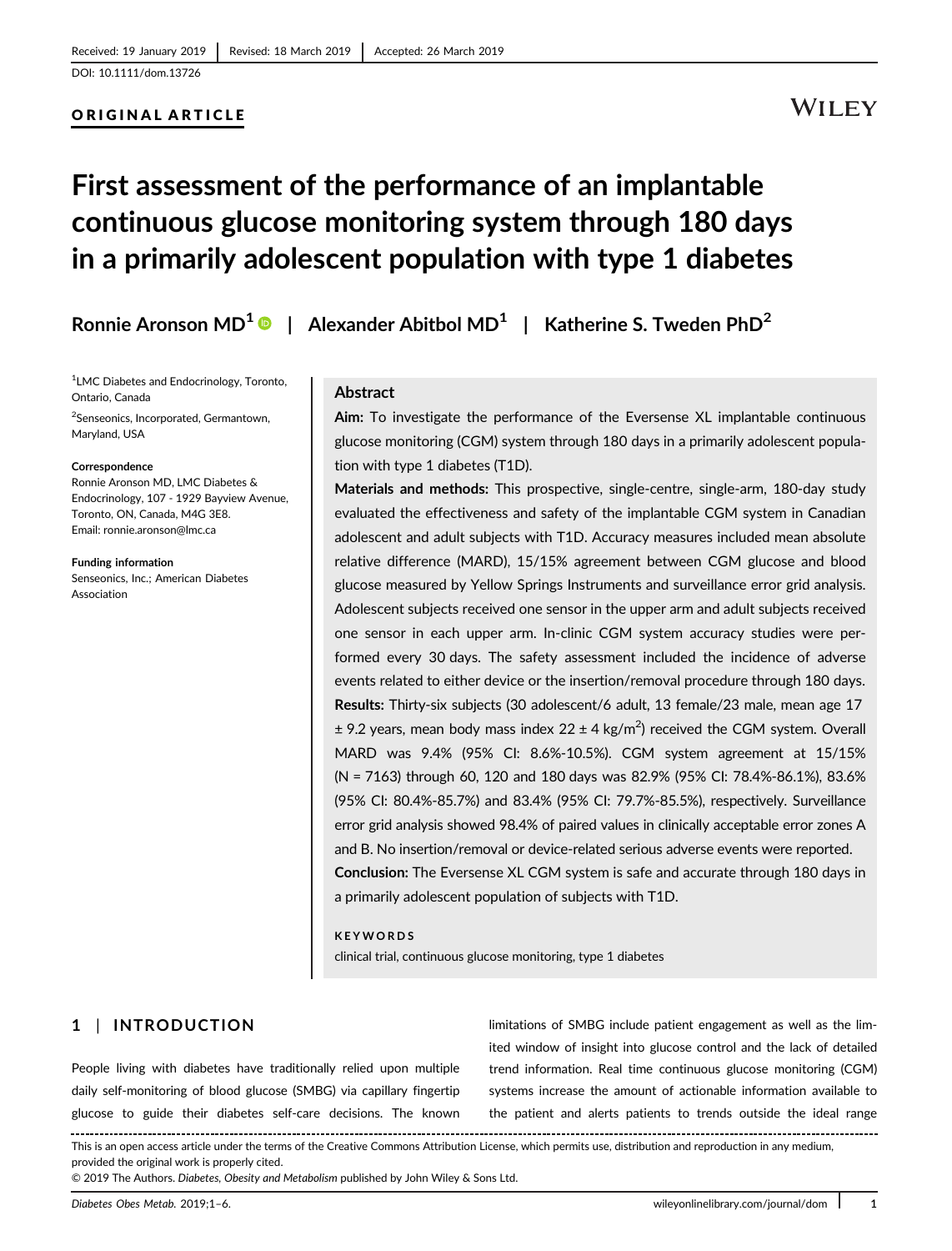## ORIGINAL ARTICLE

## **WILEY**

# First assessment of the performance of an implantable continuous glucose monitoring system through 180 days in a primarily adolescent population with type 1 diabetes

Ronnie Aronson MD<sup>1</sup>  $\bullet$  | Alexander Abitbol MD<sup>1</sup> | Katherine S. Tweden PhD<sup>2</sup>

<sup>1</sup> LMC Diabetes and Endocrinology, Toronto, Ontario, Canada

<sup>2</sup>Senseonics, Incorporated, Germantown, Maryland, USA

#### Correspondence

Ronnie Aronson MD, LMC Diabetes & Endocrinology, 107 - 1929 Bayview Avenue, Toronto, ON, Canada, M4G 3E8. Email: [ronnie.aronson@lmc.ca](mailto:ronnie.aronson@lmc.ca)

Funding information Senseonics, Inc.; American Diabetes Association

#### Abstract

Aim: To investigate the performance of the Eversense XL implantable continuous glucose monitoring (CGM) system through 180 days in a primarily adolescent population with type 1 diabetes (T1D).

Materials and methods: This prospective, single-centre, single-arm, 180-day study evaluated the effectiveness and safety of the implantable CGM system in Canadian adolescent and adult subjects with T1D. Accuracy measures included mean absolute relative difference (MARD), 15/15% agreement between CGM glucose and blood glucose measured by Yellow Springs Instruments and surveillance error grid analysis. Adolescent subjects received one sensor in the upper arm and adult subjects received one sensor in each upper arm. In-clinic CGM system accuracy studies were performed every 30 days. The safety assessment included the incidence of adverse events related to either device or the insertion/removal procedure through 180 days. Results: Thirty-six subjects (30 adolescent/6 adult, 13 female/23 male, mean age 17  $\pm$  9.2 years, mean body mass index 22  $\pm$  4 kg/m<sup>2</sup>) received the CGM system. Overall MARD was 9.4% (95% CI: 8.6%-10.5%). CGM system agreement at 15/15% (N = 7163) through 60, 120 and 180 days was 82.9% (95% CI: 78.4%-86.1%), 83.6% (95% CI: 80.4%-85.7%) and 83.4% (95% CI: 79.7%-85.5%), respectively. Surveillance error grid analysis showed 98.4% of paired values in clinically acceptable error zones A and B. No insertion/removal or device-related serious adverse events were reported. Conclusion: The Eversense XL CGM system is safe and accurate through 180 days in a primarily adolescent population of subjects with T1D.

#### KEYWORDS

clinical trial, continuous glucose monitoring, type 1 diabetes

## 1 | INTRODUCTION

People living with diabetes have traditionally relied upon multiple daily self-monitoring of blood glucose (SMBG) via capillary fingertip glucose to guide their diabetes self-care decisions. The known

limitations of SMBG include patient engagement as well as the limited window of insight into glucose control and the lack of detailed trend information. Real time continuous glucose monitoring (CGM) systems increase the amount of actionable information available to the patient and alerts patients to trends outside the ideal range

This is an open access article under the terms of the [Creative Commons Attribution](http://creativecommons.org/licenses/by/4.0/) License, which permits use, distribution and reproduction in any medium, provided the original work is properly cited.

© 2019 The Authors. Diabetes, Obesity and Metabolism published by John Wiley & Sons Ltd.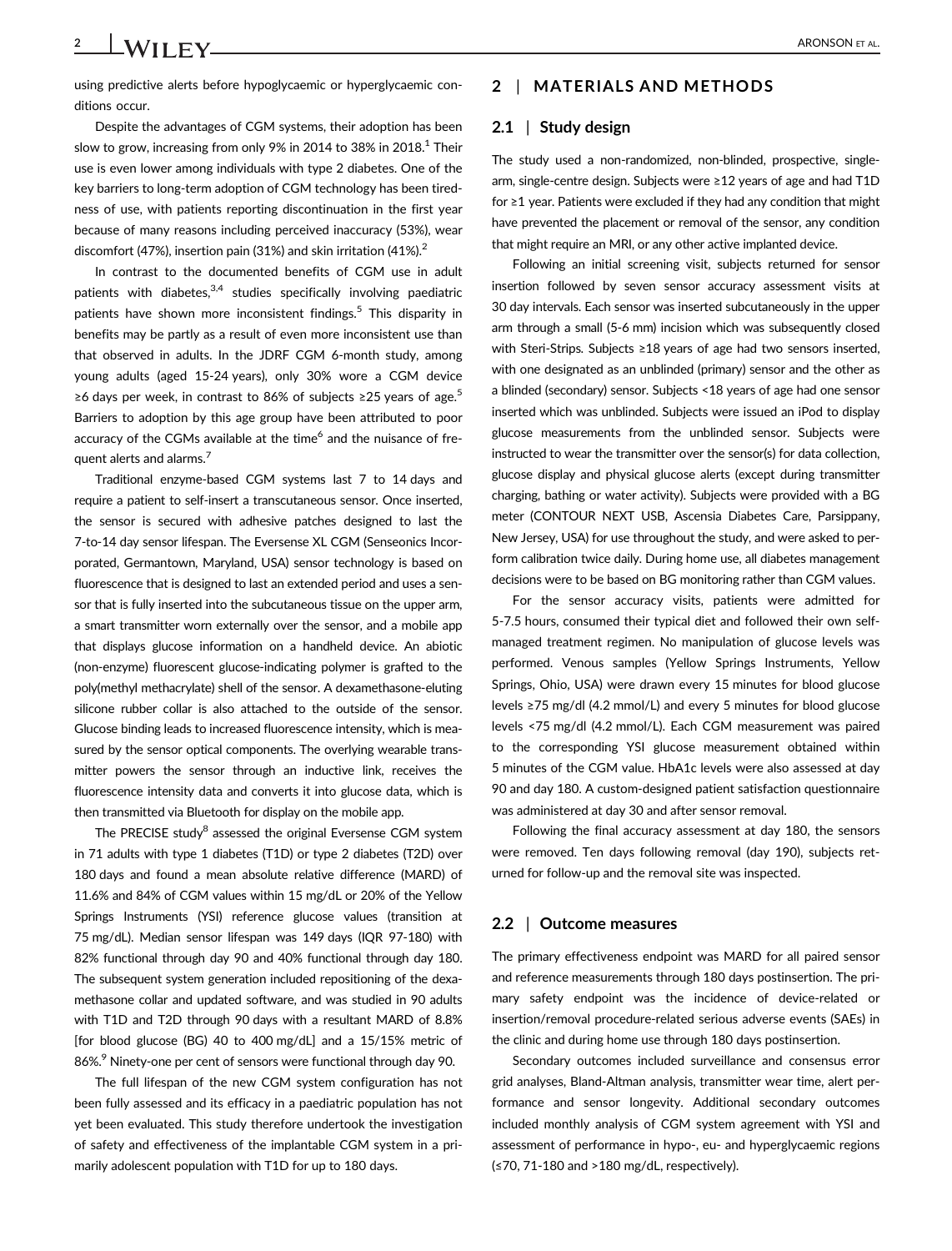using predictive alerts before hypoglycaemic or hyperglycaemic conditions occur.

Despite the advantages of CGM systems, their adoption has been slow to grow, increasing from only 9% in 2014 to 38% in 2018.<sup>1</sup> Their use is even lower among individuals with type 2 diabetes. One of the key barriers to long-term adoption of CGM technology has been tiredness of use, with patients reporting discontinuation in the first year because of many reasons including perceived inaccuracy (53%), wear discomfort (47%), insertion pain (31%) and skin irritation (41%).<sup>2</sup>

In contrast to the documented benefits of CGM use in adult patients with diabetes, $3,4$  studies specifically involving paediatric patients have shown more inconsistent findings.<sup>5</sup> This disparity in benefits may be partly as a result of even more inconsistent use than that observed in adults. In the JDRF CGM 6-month study, among young adults (aged 15-24 years), only 30% wore a CGM device ≥6 days per week, in contrast to 86% of subjects ≥25 years of age.<sup>5</sup> Barriers to adoption by this age group have been attributed to poor accuracy of the CGMs available at the time<sup>6</sup> and the nuisance of frequent alerts and alarms.<sup>7</sup>

Traditional enzyme-based CGM systems last 7 to 14 days and require a patient to self-insert a transcutaneous sensor. Once inserted, the sensor is secured with adhesive patches designed to last the 7-to-14 day sensor lifespan. The Eversense XL CGM (Senseonics Incorporated, Germantown, Maryland, USA) sensor technology is based on fluorescence that is designed to last an extended period and uses a sensor that is fully inserted into the subcutaneous tissue on the upper arm, a smart transmitter worn externally over the sensor, and a mobile app that displays glucose information on a handheld device. An abiotic (non-enzyme) fluorescent glucose-indicating polymer is grafted to the poly(methyl methacrylate) shell of the sensor. A dexamethasone-eluting silicone rubber collar is also attached to the outside of the sensor. Glucose binding leads to increased fluorescence intensity, which is measured by the sensor optical components. The overlying wearable transmitter powers the sensor through an inductive link, receives the fluorescence intensity data and converts it into glucose data, which is then transmitted via Bluetooth for display on the mobile app.

The PRECISE study<sup>8</sup> assessed the original Eversense CGM system in 71 adults with type 1 diabetes (T1D) or type 2 diabetes (T2D) over 180 days and found a mean absolute relative difference (MARD) of 11.6% and 84% of CGM values within 15 mg/dL or 20% of the Yellow Springs Instruments (YSI) reference glucose values (transition at 75 mg/dL). Median sensor lifespan was 149 days (IQR 97-180) with 82% functional through day 90 and 40% functional through day 180. The subsequent system generation included repositioning of the dexamethasone collar and updated software, and was studied in 90 adults with T1D and T2D through 90 days with a resultant MARD of 8.8% [for blood glucose (BG) 40 to 400 mg/dL] and a 15/15% metric of 86%.<sup>9</sup> Ninety-one per cent of sensors were functional through day 90.

The full lifespan of the new CGM system configuration has not been fully assessed and its efficacy in a paediatric population has not yet been evaluated. This study therefore undertook the investigation of safety and effectiveness of the implantable CGM system in a primarily adolescent population with T1D for up to 180 days.

## 2 | MATERIALS AND METHODS

#### 2.1 | Study design

The study used a non-randomized, non-blinded, prospective, singlearm, single-centre design. Subjects were ≥12 years of age and had T1D for ≥1 year. Patients were excluded if they had any condition that might have prevented the placement or removal of the sensor, any condition that might require an MRI, or any other active implanted device.

Following an initial screening visit, subjects returned for sensor insertion followed by seven sensor accuracy assessment visits at 30 day intervals. Each sensor was inserted subcutaneously in the upper arm through a small (5-6 mm) incision which was subsequently closed with Steri-Strips. Subjects ≥18 years of age had two sensors inserted, with one designated as an unblinded (primary) sensor and the other as a blinded (secondary) sensor. Subjects <18 years of age had one sensor inserted which was unblinded. Subjects were issued an iPod to display glucose measurements from the unblinded sensor. Subjects were instructed to wear the transmitter over the sensor(s) for data collection, glucose display and physical glucose alerts (except during transmitter charging, bathing or water activity). Subjects were provided with a BG meter (CONTOUR NEXT USB, Ascensia Diabetes Care, Parsippany, New Jersey, USA) for use throughout the study, and were asked to perform calibration twice daily. During home use, all diabetes management decisions were to be based on BG monitoring rather than CGM values.

For the sensor accuracy visits, patients were admitted for 5-7.5 hours, consumed their typical diet and followed their own selfmanaged treatment regimen. No manipulation of glucose levels was performed. Venous samples (Yellow Springs Instruments, Yellow Springs, Ohio, USA) were drawn every 15 minutes for blood glucose levels ≥75 mg/dl (4.2 mmol/L) and every 5 minutes for blood glucose levels <75 mg/dl (4.2 mmol/L). Each CGM measurement was paired to the corresponding YSI glucose measurement obtained within 5 minutes of the CGM value. HbA1c levels were also assessed at day 90 and day 180. A custom-designed patient satisfaction questionnaire was administered at day 30 and after sensor removal.

Following the final accuracy assessment at day 180, the sensors were removed. Ten days following removal (day 190), subjects returned for follow-up and the removal site was inspected.

#### 2.2 | Outcome measures

The primary effectiveness endpoint was MARD for all paired sensor and reference measurements through 180 days postinsertion. The primary safety endpoint was the incidence of device-related or insertion/removal procedure-related serious adverse events (SAEs) in the clinic and during home use through 180 days postinsertion.

Secondary outcomes included surveillance and consensus error grid analyses, Bland-Altman analysis, transmitter wear time, alert performance and sensor longevity. Additional secondary outcomes included monthly analysis of CGM system agreement with YSI and assessment of performance in hypo-, eu- and hyperglycaemic regions (≤70, 71-180 and >180 mg/dL, respectively).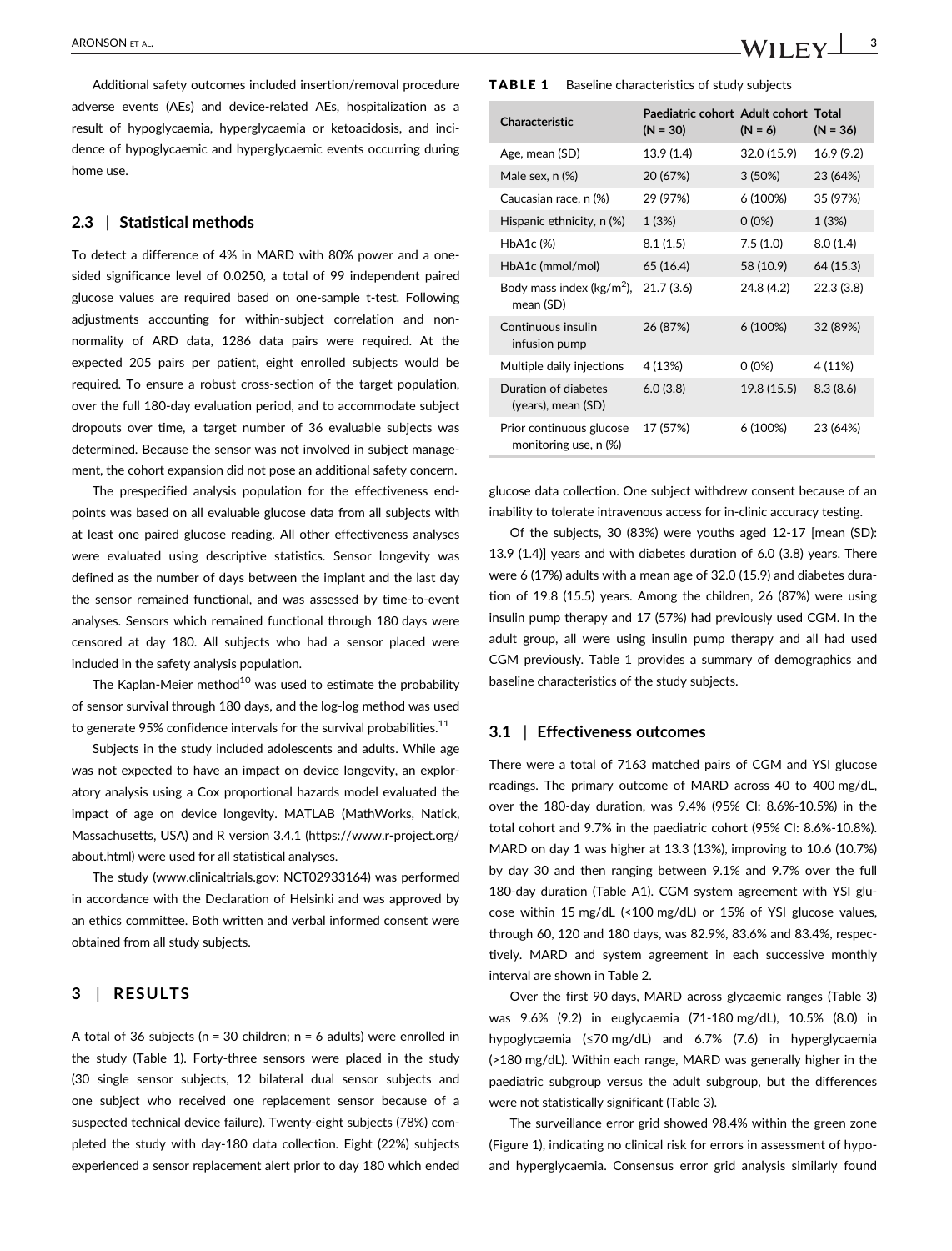Additional safety outcomes included insertion/removal procedure adverse events (AEs) and device-related AEs, hospitalization as a result of hypoglycaemia, hyperglycaemia or ketoacidosis, and incidence of hypoglycaemic and hyperglycaemic events occurring during home use.

#### 2.3 | Statistical methods

To detect a difference of 4% in MARD with 80% power and a onesided significance level of 0.0250, a total of 99 independent paired glucose values are required based on one-sample t-test. Following adjustments accounting for within-subject correlation and nonnormality of ARD data, 1286 data pairs were required. At the expected 205 pairs per patient, eight enrolled subjects would be required. To ensure a robust cross-section of the target population, over the full 180-day evaluation period, and to accommodate subject dropouts over time, a target number of 36 evaluable subjects was determined. Because the sensor was not involved in subject management, the cohort expansion did not pose an additional safety concern.

The prespecified analysis population for the effectiveness endpoints was based on all evaluable glucose data from all subjects with at least one paired glucose reading. All other effectiveness analyses were evaluated using descriptive statistics. Sensor longevity was defined as the number of days between the implant and the last day the sensor remained functional, and was assessed by time-to-event analyses. Sensors which remained functional through 180 days were censored at day 180. All subjects who had a sensor placed were included in the safety analysis population.

The Kaplan-Meier method<sup>10</sup> was used to estimate the probability of sensor survival through 180 days, and the log-log method was used to generate 95% confidence intervals for the survival probabilities. $11$ 

Subjects in the study included adolescents and adults. While age was not expected to have an impact on device longevity, an exploratory analysis using a Cox proportional hazards model evaluated the impact of age on device longevity. MATLAB (MathWorks, Natick, Massachusetts, USA) and R version 3.4.1 [\(https://www.r-project.org/](https://www.r-project.org/about.html) [about.html](https://www.r-project.org/about.html)) were used for all statistical analyses.

The study ([www.clinicaltrials.gov:](http://www.clinicaltrials.gov) NCT02933164) was performed in accordance with the Declaration of Helsinki and was approved by an ethics committee. Both written and verbal informed consent were obtained from all study subjects.

## 3 | RESULTS

A total of 36 subjects ( $n = 30$  children;  $n = 6$  adults) were enrolled in the study (Table 1). Forty-three sensors were placed in the study (30 single sensor subjects, 12 bilateral dual sensor subjects and one subject who received one replacement sensor because of a suspected technical device failure). Twenty-eight subjects (78%) completed the study with day-180 data collection. Eight (22%) subjects experienced a sensor replacement alert prior to day 180 which ended

#### TABLE 1 Baseline characteristics of study subjects

| Characteristic                                    | Paediatric cohort Adult cohort Total<br>$(N = 30)$ | $(N = 6)$   | $(N = 36)$ |
|---------------------------------------------------|----------------------------------------------------|-------------|------------|
| Age, mean (SD)                                    | 13.9 (1.4)                                         | 32.0 (15.9) | 16.9(9.2)  |
| Male sex, n (%)                                   | 20 (67%)                                           | 3(50%)      | 23 (64%)   |
| Caucasian race, n (%)                             | 29 (97%)                                           | 6 (100%)    | 35 (97%)   |
| Hispanic ethnicity, n (%)                         | 1 (3%)                                             | $0(0\%)$    | 1(3%)      |
| HbA1c (%)                                         | 8.1(1.5)                                           | 7.5(1.0)    | 8.0(1.4)   |
| HbA1c (mmol/mol)                                  | 65 (16.4)                                          | 58 (10.9)   | 64 (15.3)  |
| Body mass index ( $kg/m2$ ),<br>mean (SD)         | 21.7(3.6)                                          | 24.8 (4.2)  | 22.3(3.8)  |
| Continuous insulin<br>infusion pump               | 26 (87%)                                           | 6(100%)     | 32 (89%)   |
| Multiple daily injections                         | 4 (13%)                                            | $0(0\%)$    | 4 (11%)    |
| Duration of diabetes<br>(years), mean (SD)        | 6.0(3.8)                                           | 19.8 (15.5) | 8.3(8.6)   |
| Prior continuous glucose<br>monitoring use, n (%) | 17 (57%)                                           | 6 (100%)    | 23 (64%)   |

glucose data collection. One subject withdrew consent because of an inability to tolerate intravenous access for in-clinic accuracy testing.

Of the subjects, 30 (83%) were youths aged 12-17 [mean (SD): 13.9 (1.4)] years and with diabetes duration of 6.0 (3.8) years. There were 6 (17%) adults with a mean age of 32.0 (15.9) and diabetes duration of 19.8 (15.5) years. Among the children, 26 (87%) were using insulin pump therapy and 17 (57%) had previously used CGM. In the adult group, all were using insulin pump therapy and all had used CGM previously. Table 1 provides a summary of demographics and baseline characteristics of the study subjects.

#### 3.1 | Effectiveness outcomes

There were a total of 7163 matched pairs of CGM and YSI glucose readings. The primary outcome of MARD across 40 to 400 mg/dL, over the 180-day duration, was 9.4% (95% CI: 8.6%-10.5%) in the total cohort and 9.7% in the paediatric cohort (95% CI: 8.6%-10.8%). MARD on day 1 was higher at 13.3 (13%), improving to 10.6 (10.7%) by day 30 and then ranging between 9.1% and 9.7% over the full 180-day duration (Table A1). CGM system agreement with YSI glucose within 15 mg/dL (<100 mg/dL) or 15% of YSI glucose values, through 60, 120 and 180 days, was 82.9%, 83.6% and 83.4%, respectively. MARD and system agreement in each successive monthly interval are shown in Table 2.

Over the first 90 days, MARD across glycaemic ranges (Table 3) was 9.6% (9.2) in euglycaemia (71-180 mg/dL), 10.5% (8.0) in hypoglycaemia (≤70 mg/dL) and 6.7% (7.6) in hyperglycaemia (>180 mg/dL). Within each range, MARD was generally higher in the paediatric subgroup versus the adult subgroup, but the differences were not statistically significant (Table 3).

The surveillance error grid showed 98.4% within the green zone (Figure 1), indicating no clinical risk for errors in assessment of hypoand hyperglycaemia. Consensus error grid analysis similarly found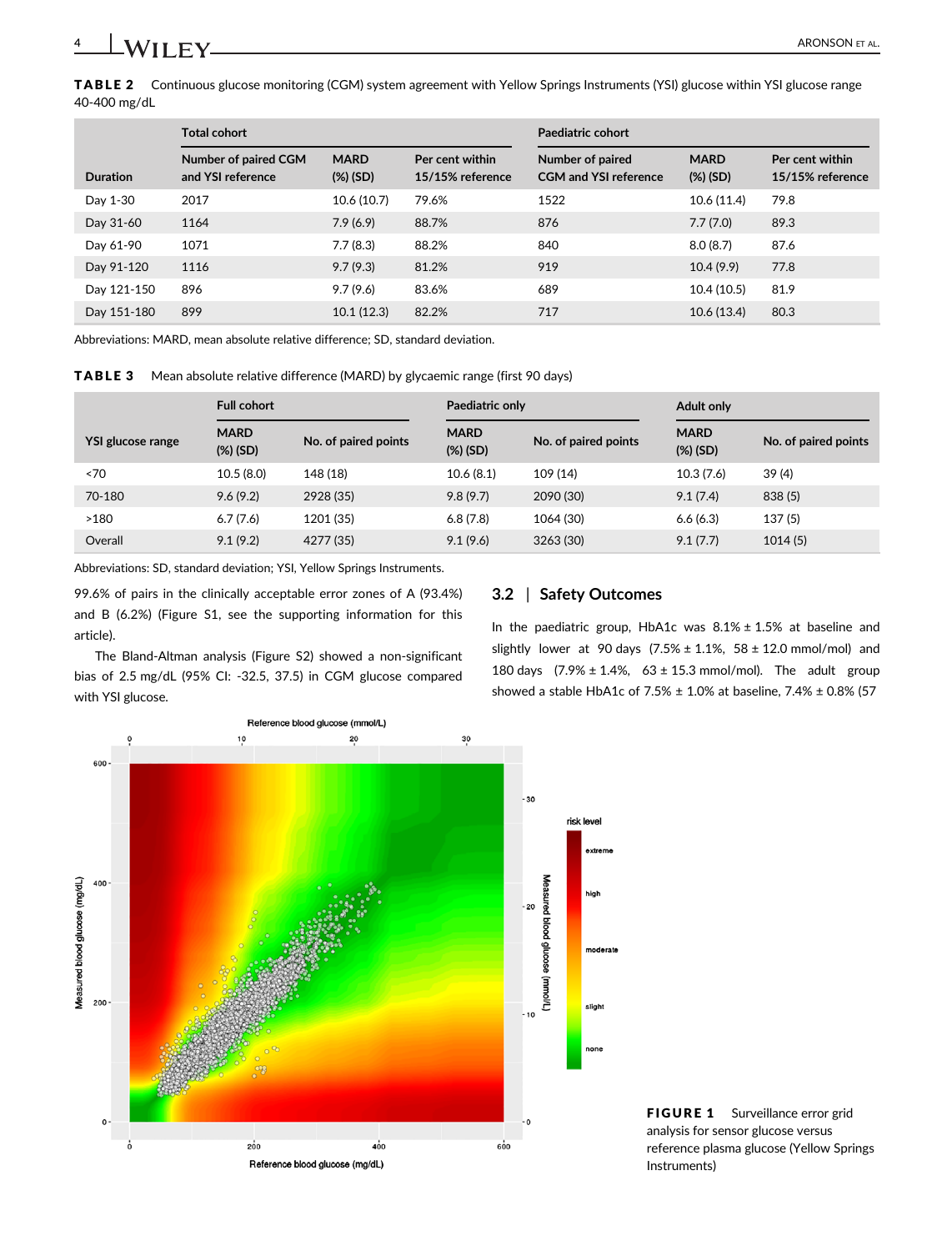TABLE 2 Continuous glucose monitoring (CGM) system agreement with Yellow Springs Instruments (YSI) glucose within YSI glucose range 40-400 mg/dL

|                 | <b>Total cohort</b>                       |                            |                                     | Paediatric cohort                                |                            |                                     |
|-----------------|-------------------------------------------|----------------------------|-------------------------------------|--------------------------------------------------|----------------------------|-------------------------------------|
| <b>Duration</b> | Number of paired CGM<br>and YSI reference | <b>MARD</b><br>$(\%)$ (SD) | Per cent within<br>15/15% reference | Number of paired<br><b>CGM and YSI reference</b> | <b>MARD</b><br>$(\%)$ (SD) | Per cent within<br>15/15% reference |
| Day 1-30        | 2017                                      | 10.6(10.7)                 | 79.6%                               | 1522                                             | 10.6 (11.4)                | 79.8                                |
| Day 31-60       | 1164                                      | 7.9(6.9)                   | 88.7%                               | 876                                              | 7.7(7.0)                   | 89.3                                |
| Day 61-90       | 1071                                      | 7.7(8.3)                   | 88.2%                               | 840                                              | 8.0(8.7)                   | 87.6                                |
| Day 91-120      | 1116                                      | 9.7(9.3)                   | 81.2%                               | 919                                              | 10.4(9.9)                  | 77.8                                |
| Day 121-150     | 896                                       | 9.7(9.6)                   | 83.6%                               | 689                                              | 10.4(10.5)                 | 81.9                                |
| Day 151-180     | 899                                       | 10.1(12.3)                 | 82.2%                               | 717                                              | 10.6(13.4)                 | 80.3                                |

Abbreviations: MARD, mean absolute relative difference; SD, standard deviation.

TABLE 3 Mean absolute relative difference (MARD) by glycaemic range (first 90 days)

|                          | <b>Full cohort</b>         |                      | Paediatric only            |                      | <b>Adult only</b>          |                      |
|--------------------------|----------------------------|----------------------|----------------------------|----------------------|----------------------------|----------------------|
| <b>YSI glucose range</b> | <b>MARD</b><br>$(\%)$ (SD) | No. of paired points | <b>MARD</b><br>$(\%)$ (SD) | No. of paired points | <b>MARD</b><br>$(\%)$ (SD) | No. of paired points |
| ~5                       | 10.5(8.0)                  | 148 (18)             | 10.6(8.1)                  | 109 (14)             | 10.3(7.6)                  | 39 (4)               |
| 70-180                   | 9.6(9.2)                   | 2928 (35)            | 9.8(9.7)                   | 2090 (30)            | 9.1(7.4)                   | 838 (5)              |
| >180                     | 6.7(7.6)                   | 1201 (35)            | 6.8(7.8)                   | 1064 (30)            | 6.6(6.3)                   | 137(5)               |
| Overall                  | 9.1(9.2)                   | 4277 (35)            | 9.1(9.6)                   | 3263 (30)            | 9.1(7.7)                   | 1014(5)              |

Abbreviations: SD, standard deviation; YSI, Yellow Springs Instruments.

99.6% of pairs in the clinically acceptable error zones of A (93.4%) and B (6.2%) (Figure S1, see the supporting information for this article).

The Bland-Altman analysis (Figure S2) showed a non-significant bias of 2.5 mg/dL (95% CI: -32.5, 37.5) in CGM glucose compared with YSI glucose.

## 3.2 | Safety Outcomes

In the paediatric group, HbA1c was  $8.1\% \pm 1.5\%$  at baseline and slightly lower at 90 days  $(7.5% \pm 1.1%$ ,  $58 \pm 12.0$  mmol/mol) and 180 days  $(7.9\% \pm 1.4\%, 63 \pm 15.3 \text{ mmol/mol})$ . The adult group showed a stable HbA1c of 7.5%  $\pm$  1.0% at baseline, 7.4%  $\pm$  0.8% (57



FIGURE 1 Surveillance error grid analysis for sensor glucose versus reference plasma glucose (Yellow Springs Instruments)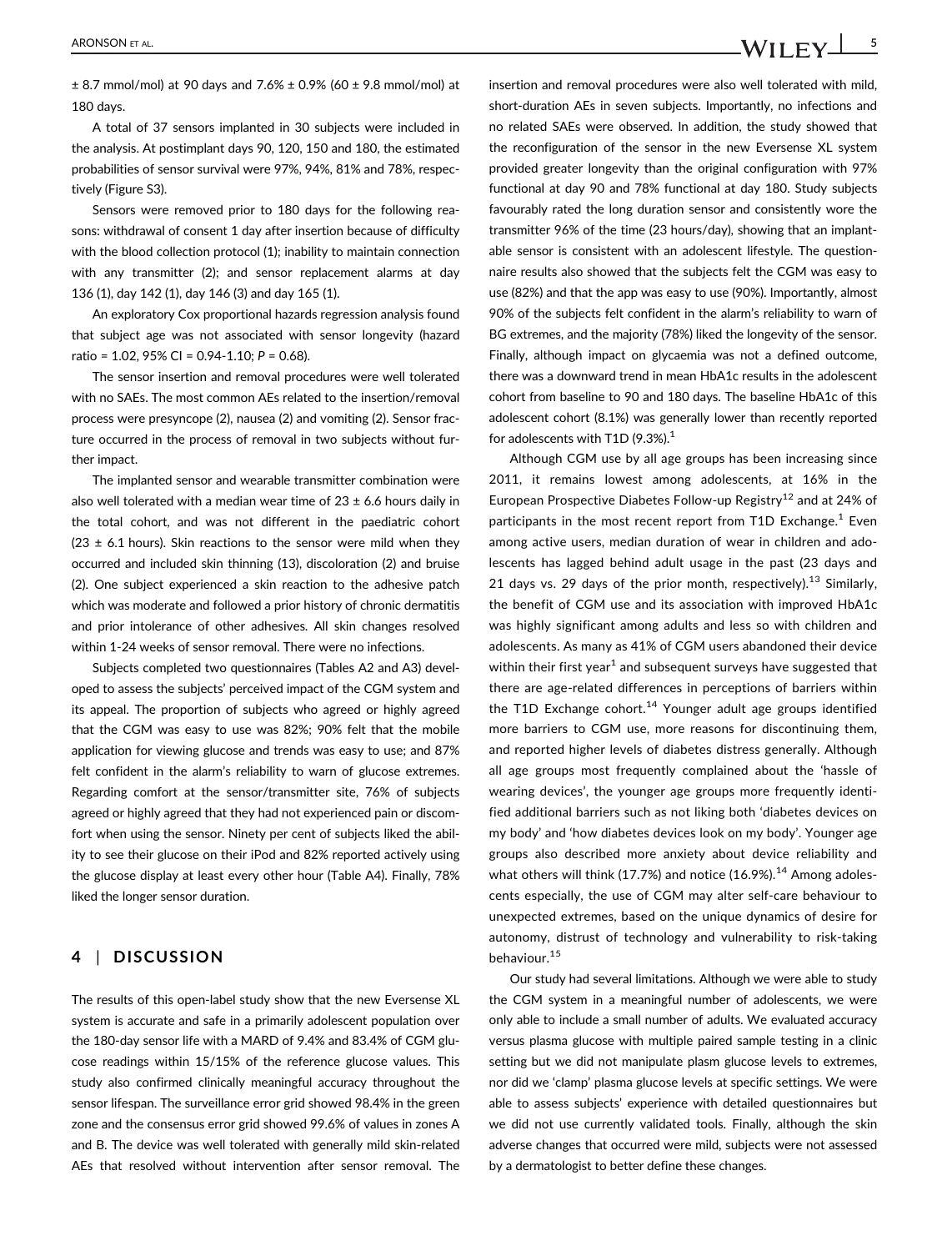± 8.7 mmol/mol) at 90 days and 7.6% ± 0.9% (60 ± 9.8 mmol/mol) at 180 days.

A total of 37 sensors implanted in 30 subjects were included in the analysis. At postimplant days 90, 120, 150 and 180, the estimated probabilities of sensor survival were 97%, 94%, 81% and 78%, respectively (Figure S3).

Sensors were removed prior to 180 days for the following reasons: withdrawal of consent 1 day after insertion because of difficulty with the blood collection protocol (1); inability to maintain connection with any transmitter (2); and sensor replacement alarms at day 136 (1), day 142 (1), day 146 (3) and day 165 (1).

An exploratory Cox proportional hazards regression analysis found that subject age was not associated with sensor longevity (hazard ratio = 1.02, 95% CI = 0.94-1.10; P = 0.68).

The sensor insertion and removal procedures were well tolerated with no SAEs. The most common AEs related to the insertion/removal process were presyncope (2), nausea (2) and vomiting (2). Sensor fracture occurred in the process of removal in two subjects without further impact.

The implanted sensor and wearable transmitter combination were also well tolerated with a median wear time of  $23 \pm 6.6$  hours daily in the total cohort, and was not different in the paediatric cohort (23  $\pm$  6.1 hours). Skin reactions to the sensor were mild when they occurred and included skin thinning (13), discoloration (2) and bruise (2). One subject experienced a skin reaction to the adhesive patch which was moderate and followed a prior history of chronic dermatitis and prior intolerance of other adhesives. All skin changes resolved within 1-24 weeks of sensor removal. There were no infections.

Subjects completed two questionnaires (Tables A2 and A3) developed to assess the subjects' perceived impact of the CGM system and its appeal. The proportion of subjects who agreed or highly agreed that the CGM was easy to use was 82%; 90% felt that the mobile application for viewing glucose and trends was easy to use; and 87% felt confident in the alarm's reliability to warn of glucose extremes. Regarding comfort at the sensor/transmitter site, 76% of subjects agreed or highly agreed that they had not experienced pain or discomfort when using the sensor. Ninety per cent of subjects liked the ability to see their glucose on their iPod and 82% reported actively using the glucose display at least every other hour (Table A4). Finally, 78% liked the longer sensor duration.

## 4 | DISCUSSION

The results of this open-label study show that the new Eversense XL system is accurate and safe in a primarily adolescent population over the 180-day sensor life with a MARD of 9.4% and 83.4% of CGM glucose readings within 15/15% of the reference glucose values. This study also confirmed clinically meaningful accuracy throughout the sensor lifespan. The surveillance error grid showed 98.4% in the green zone and the consensus error grid showed 99.6% of values in zones A and B. The device was well tolerated with generally mild skin-related AEs that resolved without intervention after sensor removal. The insertion and removal procedures were also well tolerated with mild, short-duration AEs in seven subjects. Importantly, no infections and no related SAEs were observed. In addition, the study showed that the reconfiguration of the sensor in the new Eversense XL system provided greater longevity than the original configuration with 97% functional at day 90 and 78% functional at day 180. Study subjects favourably rated the long duration sensor and consistently wore the transmitter 96% of the time (23 hours/day), showing that an implantable sensor is consistent with an adolescent lifestyle. The questionnaire results also showed that the subjects felt the CGM was easy to use (82%) and that the app was easy to use (90%). Importantly, almost 90% of the subjects felt confident in the alarm's reliability to warn of BG extremes, and the majority (78%) liked the longevity of the sensor. Finally, although impact on glycaemia was not a defined outcome, there was a downward trend in mean HbA1c results in the adolescent cohort from baseline to 90 and 180 days. The baseline HbA1c of this adolescent cohort (8.1%) was generally lower than recently reported for adolescents with T1D  $(9.3\%)$ <sup>1</sup>

Although CGM use by all age groups has been increasing since 2011, it remains lowest among adolescents, at 16% in the European Prospective Diabetes Follow-up Registry<sup>12</sup> and at 24% of participants in the most recent report from T1D Exchange.<sup>1</sup> Even among active users, median duration of wear in children and adolescents has lagged behind adult usage in the past (23 days and 21 days vs. 29 days of the prior month, respectively).<sup>13</sup> Similarly, the benefit of CGM use and its association with improved HbA1c was highly significant among adults and less so with children and adolescents. As many as 41% of CGM users abandoned their device within their first year<sup>1</sup> and subsequent surveys have suggested that there are age-related differences in perceptions of barriers within the T1D Exchange cohort.<sup>14</sup> Younger adult age groups identified more barriers to CGM use, more reasons for discontinuing them, and reported higher levels of diabetes distress generally. Although all age groups most frequently complained about the 'hassle of wearing devices', the younger age groups more frequently identified additional barriers such as not liking both 'diabetes devices on my body' and 'how diabetes devices look on my body'. Younger age groups also described more anxiety about device reliability and what others will think (17.7%) and notice  $(16.9\%)$ .<sup>14</sup> Among adolescents especially, the use of CGM may alter self-care behaviour to unexpected extremes, based on the unique dynamics of desire for autonomy, distrust of technology and vulnerability to risk-taking behaviour.<sup>15</sup>

Our study had several limitations. Although we were able to study the CGM system in a meaningful number of adolescents, we were only able to include a small number of adults. We evaluated accuracy versus plasma glucose with multiple paired sample testing in a clinic setting but we did not manipulate plasm glucose levels to extremes, nor did we 'clamp' plasma glucose levels at specific settings. We were able to assess subjects' experience with detailed questionnaires but we did not use currently validated tools. Finally, although the skin adverse changes that occurred were mild, subjects were not assessed by a dermatologist to better define these changes.